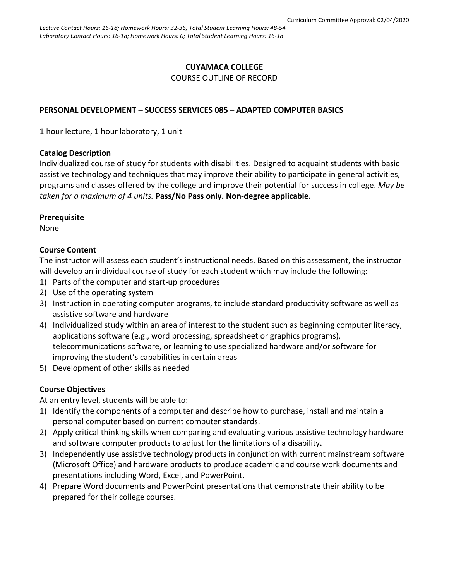### **CUYAMACA COLLEGE**

#### COURSE OUTLINE OF RECORD

#### **PERSONAL DEVELOPMENT – SUCCESS SERVICES 085 – ADAPTED COMPUTER BASICS**

1 hour lecture, 1 hour laboratory, 1 unit

#### **Catalog Description**

Individualized course of study for students with disabilities. Designed to acquaint students with basic assistive technology and techniques that may improve their ability to participate in general activities, programs and classes offered by the college and improve their potential for success in college. *May be taken for a maximum of 4 units.* **Pass/No Pass only. Non-degree applicable.**

#### **Prerequisite**

None

### **Course Content**

The instructor will assess each student's instructional needs. Based on this assessment, the instructor will develop an individual course of study for each student which may include the following:

- 1) Parts of the computer and start-up procedures
- 2) Use of the operating system
- 3) Instruction in operating computer programs, to include standard productivity software as well as assistive software and hardware
- 4) Individualized study within an area of interest to the student such as beginning computer literacy, applications software (e.g., word processing, spreadsheet or graphics programs), telecommunications software, or learning to use specialized hardware and/or software for improving the student's capabilities in certain areas
- 5) Development of other skills as needed

### **Course Objectives**

At an entry level, students will be able to:

- 1) Identify the components of a computer and describe how to purchase, install and maintain a personal computer based on current computer standards.
- 2) Apply critical thinking skills when comparing and evaluating various assistive technology hardware and software computer products to adjust for the limitations of a disability**.**
- 3) Independently use assistive technology products in conjunction with current mainstream software (Microsoft Office) and hardware products to produce academic and course work documents and presentations including Word, Excel, and PowerPoint.
- 4) Prepare Word documents and PowerPoint presentations that demonstrate their ability to be prepared for their college courses.